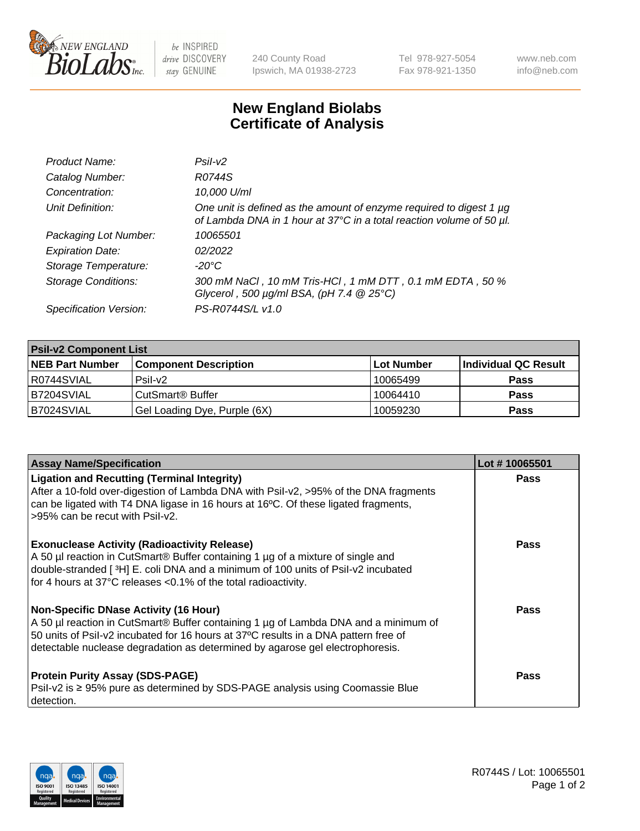

 $be$  INSPIRED drive DISCOVERY stay GENUINE

240 County Road Ipswich, MA 01938-2723 Tel 978-927-5054 Fax 978-921-1350 www.neb.com info@neb.com

## **New England Biolabs Certificate of Analysis**

| Product Name:              | Psi2                                                                                                                                        |
|----------------------------|---------------------------------------------------------------------------------------------------------------------------------------------|
| Catalog Number:            | R0744S                                                                                                                                      |
| Concentration:             | 10,000 U/ml                                                                                                                                 |
| Unit Definition:           | One unit is defined as the amount of enzyme required to digest 1 µg<br>of Lambda DNA in 1 hour at 37°C in a total reaction volume of 50 µl. |
| Packaging Lot Number:      | 10065501                                                                                                                                    |
| <b>Expiration Date:</b>    | 02/2022                                                                                                                                     |
| Storage Temperature:       | $-20^{\circ}$ C                                                                                                                             |
| <b>Storage Conditions:</b> | 300 mM NaCl, 10 mM Tris-HCl, 1 mM DTT, 0.1 mM EDTA, 50 %<br>Glycerol, 500 $\mu$ g/ml BSA, (pH 7.4 $@25°C$ )                                 |
| Specification Version:     | PS-R0744S/L v1.0                                                                                                                            |

| <b>Psil-v2 Component List</b> |                              |            |                      |  |  |
|-------------------------------|------------------------------|------------|----------------------|--|--|
| <b>NEB Part Number</b>        | <b>Component Description</b> | Lot Number | Individual QC Result |  |  |
| I R0744SVIAL                  | $P$ sil-v $2$                | 10065499   | <b>Pass</b>          |  |  |
| <b>B7204SVIAL</b>             | CutSmart <sup>®</sup> Buffer | 10064410   | <b>Pass</b>          |  |  |
| B7024SVIAL                    | Gel Loading Dye, Purple (6X) | 10059230   | <b>Pass</b>          |  |  |

| <b>Assay Name/Specification</b>                                                                                                                                                                                                                                                                             | Lot #10065501 |
|-------------------------------------------------------------------------------------------------------------------------------------------------------------------------------------------------------------------------------------------------------------------------------------------------------------|---------------|
| <b>Ligation and Recutting (Terminal Integrity)</b><br>After a 10-fold over-digestion of Lambda DNA with Psil-v2, >95% of the DNA fragments<br>can be ligated with T4 DNA ligase in 16 hours at 16°C. Of these ligated fragments,<br>>95% can be recut with Psil-v2.                                         | <b>Pass</b>   |
| <b>Exonuclease Activity (Radioactivity Release)</b><br>A 50 µl reaction in CutSmart® Buffer containing 1 µg of a mixture of single and<br>double-stranded [3H] E. coli DNA and a minimum of 100 units of Psil-v2 incubated<br>for 4 hours at 37°C releases <0.1% of the total radioactivity.                | <b>Pass</b>   |
| <b>Non-Specific DNase Activity (16 Hour)</b><br>A 50 µl reaction in CutSmart® Buffer containing 1 µg of Lambda DNA and a minimum of<br>50 units of Psil-v2 incubated for 16 hours at 37°C results in a DNA pattern free of<br>detectable nuclease degradation as determined by agarose gel electrophoresis. | <b>Pass</b>   |
| <b>Protein Purity Assay (SDS-PAGE)</b><br>Psil-v2 is ≥ 95% pure as determined by SDS-PAGE analysis using Coomassie Blue<br>detection.                                                                                                                                                                       | Pass          |